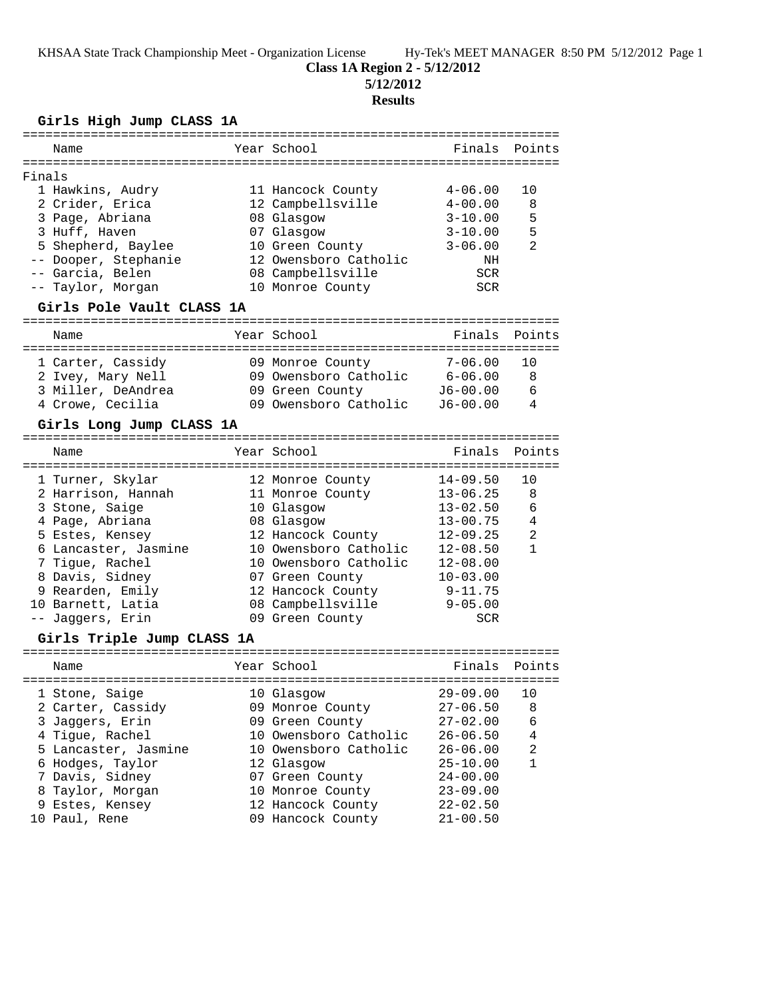# **Class 1A Region 2 - 5/12/2012**

**5/12/2012**

### **Results**

### **Girls High Jump CLASS 1A**

| Name                      | Year School           | Finals Points |     |
|---------------------------|-----------------------|---------------|-----|
|                           |                       |               |     |
| Finals                    |                       |               |     |
| 1 Hawkins, Audry          | 11 Hancock County     | $4 - 06.00$   | 1 N |
| 2 Crider, Erica           | 12 Campbellsville     | $4 - 00.00$   | 8   |
| 3 Page, Abriana           | 08 Glasgow            | $3 - 10.00$   | -5  |
| 3 Huff, Haven             | 07 Glasgow            | $3 - 10.00$   | 5   |
| 5 Shepherd, Baylee        | 10 Green County       | $3 - 06.00$   | 2   |
| -- Dooper, Stephanie      | 12 Owensboro Catholic | ΝH            |     |
| -- Garcia, Belen          | 08 Campbellsville     | SCR           |     |
| -- Taylor, Morgan         | 10 Monroe County      | <b>SCR</b>    |     |
| Girls Pole Vault CLASS 1A |                       |               |     |

=======================================================================

| Name               | Year School           | Finals Points |    |
|--------------------|-----------------------|---------------|----|
| 1 Carter, Cassidy  | 09 Monroe County      | $7 - 06.00$   |    |
| 2 Ivey, Mary Nell  | 09 Owensboro Catholic | $6 - 06.00$   | -8 |
| 3 Miller, DeAndrea | 09 Green County       | $J6-00.00$    | 6  |
| 4 Crowe, Cecilia   | 09 Owensboro Catholic | $J6 - 00.00$  | 4  |

# **Girls Long Jump CLASS 1A**

| Name                 | Year School           | Finals Points |                |
|----------------------|-----------------------|---------------|----------------|
| 1 Turner, Skylar     | 12 Monroe County      | $14 - 09.50$  | 10             |
| 2 Harrison, Hannah   | 11 Monroe County      | $13 - 06.25$  | 8              |
| 3 Stone, Saige       | 10 Glasgow            | $13 - 02.50$  | 6              |
| 4 Page, Abriana      | 08 Glasgow            | $13 - 00.75$  | $\overline{4}$ |
| 5 Estes, Kensey      | 12 Hancock County     | $12 - 09.25$  | $\mathfrak{D}$ |
| 6 Lancaster, Jasmine | 10 Owensboro Catholic | $12 - 08.50$  |                |
| 7 Tique, Rachel      | 10 Owensboro Catholic | $12 - 08.00$  |                |
| 8 Davis, Sidney      | 07 Green County       | $10 - 03.00$  |                |
| 9 Rearden, Emily     | 12 Hancock County     | $9 - 11.75$   |                |
| 10 Barnett, Latia    | 08 Campbellsville     | $9 - 05.00$   |                |
| -- Jaqqers, Erin     | 09 Green County       | <b>SCR</b>    |                |

### **Girls Triple Jump CLASS 1A**

| Name                                                                                                                                     | Year School                                                                                                                          | Finals Points                                                                                                |                                                  |
|------------------------------------------------------------------------------------------------------------------------------------------|--------------------------------------------------------------------------------------------------------------------------------------|--------------------------------------------------------------------------------------------------------------|--------------------------------------------------|
| 1 Stone, Saige<br>2 Carter, Cassidy<br>3 Jaqqers, Erin<br>4 Tigue, Rachel<br>5 Lancaster, Jasmine<br>6 Hodges, Taylor<br>7 Davis, Sidney | 10 Glasgow<br>09 Monroe County<br>09 Green County<br>10 Owensboro Catholic<br>10 Owensboro Catholic<br>12 Glasgow<br>07 Green County | $29 - 09.00$<br>$27 - 06.50$<br>$27 - 02.00$<br>$26 - 06.50$<br>$26 - 06.00$<br>$25 - 10.00$<br>$24 - 00.00$ | 10<br>8<br>6<br>$\overline{4}$<br>$\mathfrak{D}$ |
| 8 Taylor, Morgan<br>9 Estes, Kensey                                                                                                      | 10 Monroe County<br>12 Hancock County                                                                                                | $23 - 09.00$<br>$22 - 02.50$                                                                                 |                                                  |
| 10 Paul, Rene                                                                                                                            | 09 Hancock County                                                                                                                    | $21 - 00.50$                                                                                                 |                                                  |
|                                                                                                                                          |                                                                                                                                      |                                                                                                              |                                                  |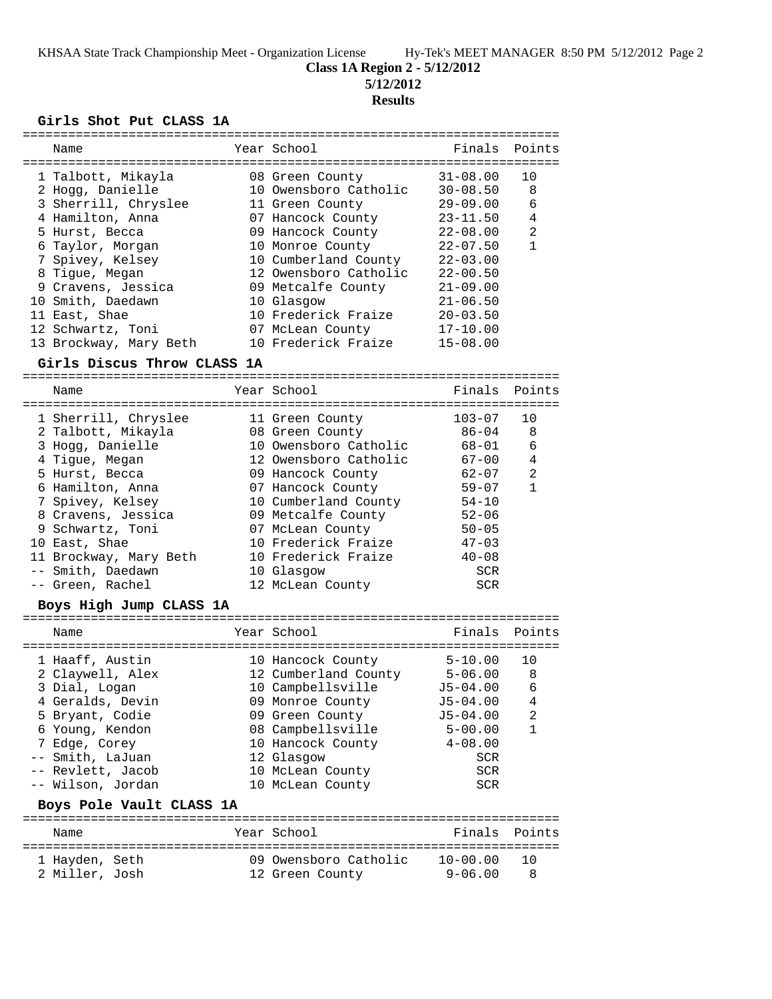**Class 1A Region 2 - 5/12/2012**

**5/12/2012**

#### **Results**

#### **Girls Shot Put CLASS 1A**

| Name                   | Year School           | Finals Points |    |
|------------------------|-----------------------|---------------|----|
|                        |                       |               |    |
| 1 Talbott, Mikayla     | 08 Green County       | $31 - 08.00$  | 10 |
| 2 Hogg, Danielle       | 10 Owensboro Catholic | $30 - 08.50$  | 8  |
| 3 Sherrill, Chryslee   | 11 Green County       | $29 - 09.00$  | 6  |
| 4 Hamilton, Anna       | 07 Hancock County     | $23 - 11.50$  | 4  |
| 5 Hurst, Becca         | 09 Hancock County     | $22 - 08.00$  | 2  |
| 6 Taylor, Morgan       | 10 Monroe County      | $22 - 07.50$  |    |
| 7 Spivey, Kelsey       | 10 Cumberland County  | $22 - 03.00$  |    |
| 8 Tique, Megan         | 12 Owensboro Catholic | $22 - 00.50$  |    |
| 9 Cravens, Jessica     | 09 Metcalfe County    | $21 - 09.00$  |    |
| 10 Smith, Daedawn      | 10 Glasgow            | $21 - 06.50$  |    |
| 11 East, Shae          | 10 Frederick Fraize   | $20 - 03.50$  |    |
| 12 Schwartz, Toni      | 07 McLean County      | $17 - 10.00$  |    |
| 13 Brockway, Mary Beth | 10 Frederick Fraize   | $15 - 08.00$  |    |

#### **Girls Discus Throw CLASS 1A**

======================================================================= Year School Finals Points ======================================================================= 1 Sherrill, Chryslee 11 Green County 103-07 10 2 Talbott, Mikayla 08 Green County 86-04 8 3 Hogg, Danielle 10 Owensboro Catholic 68-01 6 4 Tigue, Megan 12 Owensboro Catholic 67-00 4 5 Hurst, Becca 09 Hancock County 62-07 2 6 Hamilton, Anna 07 Hancock County 59-07 1 7 Spivey, Kelsey 10 Cumberland County 54-10 8 Cravens, Jessica 09 Metcalfe County 52-06 9 Schwartz, Toni 07 McLean County 50-05 10 East, Shae 10 Frederick Fraize 47-03 11 Brockway, Mary Beth 10 Frederick Fraize 40-08 -- Smith, Daedawn 10 Glasgow SCR -- Green, Rachel 12 McLean County SCR

#### **Boys High Jump CLASS 1A**

| Name                                                                                                                                                                                          | Year School                                                                                                                                                                                           | Finals Points                                                                                                                      |                                          |
|-----------------------------------------------------------------------------------------------------------------------------------------------------------------------------------------------|-------------------------------------------------------------------------------------------------------------------------------------------------------------------------------------------------------|------------------------------------------------------------------------------------------------------------------------------------|------------------------------------------|
| 1 Haaff, Austin<br>2 Claywell, Alex<br>3 Dial, Logan<br>4 Geralds, Devin<br>5 Bryant, Codie<br>6 Young, Kendon<br>7 Edge, Corey<br>-- Smith, LaJuan<br>-- Revlett, Jacob<br>-- Wilson, Jordan | 10 Hancock County<br>12 Cumberland County<br>10 Campbellsville<br>09 Monroe County<br>09 Green County<br>08 Campbellsville<br>10 Hancock County<br>12 Glasgow<br>10 McLean County<br>10 McLean County | $5 - 10.00$<br>$5 - 06.00$<br>$J5 - 04.00$<br>$J5-04.00$<br>$J5 - 04.00$<br>$5 - 00.00$<br>$4 - 08.00$<br>SCR<br><b>SCR</b><br>SCR | 10<br>8<br>6<br>4<br>$\mathfrak{D}$<br>1 |
|                                                                                                                                                                                               |                                                                                                                                                                                                       |                                                                                                                                    |                                          |

#### **Boys Pole Vault CLASS 1A**

| Name           |  | Year School           |              | Finals Points |
|----------------|--|-----------------------|--------------|---------------|
| 1 Hayden, Seth |  | 09 Owensboro Catholic | $10 - 00.00$ | - 1 ∩         |
| 2 Miller, Josh |  | 12 Green County       | $9 - 06.00$  |               |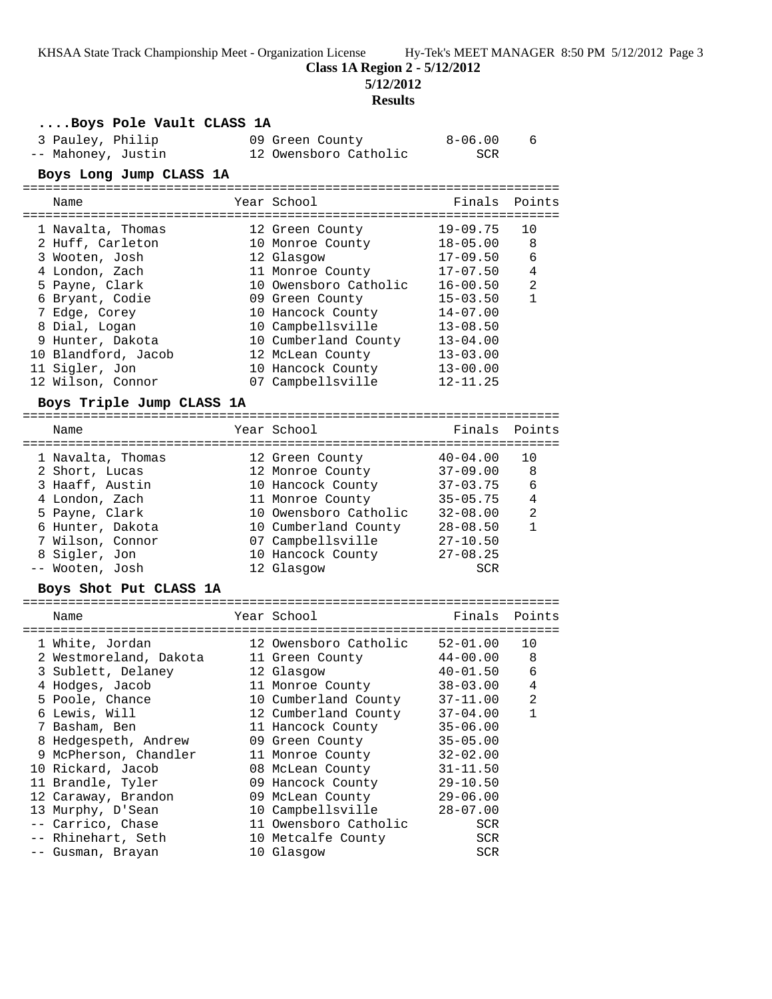**Class 1A Region 2 - 5/12/2012**

**5/12/2012**

### **Results**

| 3 Pauley, Philip<br>$8 - 06.00$<br>09 Green County<br>6<br>12 Owensboro Catholic<br>-- Mahoney, Justin<br>SCR.<br>Boys Long Jump CLASS 1A<br>Points<br>Year School<br>Finals<br>Name<br>$19 - 09.75$<br>1 Navalta, Thomas<br>10<br>12 Green County<br>10 Monroe County<br>2 Huff, Carleton<br>$18 - 05.00$<br>8<br>3 Wooten, Josh<br>12 Glasgow<br>$17 - 09.50$<br>6<br>4 London, Zach<br>11 Monroe County<br>$17 - 07.50$<br>4<br>2<br>5 Payne, Clark<br>10 Owensboro Catholic<br>$16 - 00.50$<br>6 Bryant, Codie<br>$\mathbf{1}$<br>09 Green County<br>$15 - 03.50$<br>7 Edge, Corey<br>10 Hancock County<br>$14 - 07.00$<br>8 Dial, Logan<br>10 Campbellsville<br>$13 - 08.50$<br>9 Hunter, Dakota<br>10 Cumberland County<br>$13 - 04.00$<br>10 Blandford, Jacob<br>12 McLean County<br>$13 - 03.00$<br>11 Sigler, Jon<br>$13 - 00.00$<br>10 Hancock County<br>12 Wilson, Connor<br>07 Campbellsville<br>$12 - 11.25$<br>Boys Triple Jump CLASS 1A<br>Year School<br>Finals<br>Points<br>Name<br>1 Navalta, Thomas<br>$40 - 04.00$<br>10<br>12 Green County<br>12 Monroe County<br>2 Short, Lucas<br>$37 - 09.00$<br>8<br>10 Hancock County 37-03.75<br>3 Haaff, Austin<br>6<br>4 London, Zach<br>11 Monroe County<br>$35 - 05.75$<br>4<br>5 Payne, Clark<br>10 Owensboro Catholic<br>2<br>32-08.00<br>6 Hunter, Dakota<br>$\mathbf{1}$<br>10 Cumberland County<br>$28 - 08.50$<br>7 Wilson, Connor<br>07 Campbellsville<br>$27 - 10.50$<br>10 Hancock County<br>8 Sigler, Jon<br>$27 - 08.25$<br>-- Wooten, Josh<br>12 Glasgow<br><b>SCR</b><br>Boys Shot Put CLASS 1A<br>Year School<br>Finals Points<br>Name<br>12 Owensboro Catholic<br>$52 - 01.00$<br>1 White, Jordan<br>10<br>2 Westmoreland, Dakota 11 Green County<br>$44 - 00.00$<br>8<br>3 Sublett, Delaney<br>12 Glasgow<br>$40 - 01.50$<br>6<br>4 Hodges, Jacob<br>11 Monroe County<br>$38 - 03.00$<br>4<br>10 Cumberland County<br>$37 - 11.00$<br>2<br>5 Poole, Chance<br>6 Lewis, Will<br>12 Cumberland County<br>$37 - 04.00$<br>1<br>7 Basham, Ben<br>11 Hancock County<br>$35 - 06.00$<br>8 Hedgespeth, Andrew<br>09 Green County<br>$35 - 05.00$<br>9 McPherson, Chandler<br>11 Monroe County<br>$32 - 02.00$<br>10 Rickard, Jacob<br>08 McLean County<br>$31 - 11.50$<br>11 Brandle, Tyler<br>09 Hancock County<br>$29 - 10.50$<br>12 Caraway, Brandon<br>09 McLean County<br>$29 - 06.00$<br>13 Murphy, D'Sean<br>10 Campbellsville<br>$28 - 07.00$<br>-- Carrico, Chase<br>11 Owensboro Catholic<br>SCR<br>-- Rhinehart, Seth<br>10 Metcalfe County<br>SCR<br>-- Gusman, Brayan<br>10 Glasgow<br>SCR | Boys Pole Vault CLASS 1A |  |  |
|---------------------------------------------------------------------------------------------------------------------------------------------------------------------------------------------------------------------------------------------------------------------------------------------------------------------------------------------------------------------------------------------------------------------------------------------------------------------------------------------------------------------------------------------------------------------------------------------------------------------------------------------------------------------------------------------------------------------------------------------------------------------------------------------------------------------------------------------------------------------------------------------------------------------------------------------------------------------------------------------------------------------------------------------------------------------------------------------------------------------------------------------------------------------------------------------------------------------------------------------------------------------------------------------------------------------------------------------------------------------------------------------------------------------------------------------------------------------------------------------------------------------------------------------------------------------------------------------------------------------------------------------------------------------------------------------------------------------------------------------------------------------------------------------------------------------------------------------------------------------------------------------------------------------------------------------------------------------------------------------------------------------------------------------------------------------------------------------------------------------------------------------------------------------------------------------------------------------------------------------------------------------------------------------------------------------------------------------------------------------------------------------------------------------------------------------------------------------------------------------------------------------------------------------------------------------------------|--------------------------|--|--|
|                                                                                                                                                                                                                                                                                                                                                                                                                                                                                                                                                                                                                                                                                                                                                                                                                                                                                                                                                                                                                                                                                                                                                                                                                                                                                                                                                                                                                                                                                                                                                                                                                                                                                                                                                                                                                                                                                                                                                                                                                                                                                                                                                                                                                                                                                                                                                                                                                                                                                                                                                                                 |                          |  |  |
|                                                                                                                                                                                                                                                                                                                                                                                                                                                                                                                                                                                                                                                                                                                                                                                                                                                                                                                                                                                                                                                                                                                                                                                                                                                                                                                                                                                                                                                                                                                                                                                                                                                                                                                                                                                                                                                                                                                                                                                                                                                                                                                                                                                                                                                                                                                                                                                                                                                                                                                                                                                 |                          |  |  |
|                                                                                                                                                                                                                                                                                                                                                                                                                                                                                                                                                                                                                                                                                                                                                                                                                                                                                                                                                                                                                                                                                                                                                                                                                                                                                                                                                                                                                                                                                                                                                                                                                                                                                                                                                                                                                                                                                                                                                                                                                                                                                                                                                                                                                                                                                                                                                                                                                                                                                                                                                                                 |                          |  |  |
|                                                                                                                                                                                                                                                                                                                                                                                                                                                                                                                                                                                                                                                                                                                                                                                                                                                                                                                                                                                                                                                                                                                                                                                                                                                                                                                                                                                                                                                                                                                                                                                                                                                                                                                                                                                                                                                                                                                                                                                                                                                                                                                                                                                                                                                                                                                                                                                                                                                                                                                                                                                 |                          |  |  |
|                                                                                                                                                                                                                                                                                                                                                                                                                                                                                                                                                                                                                                                                                                                                                                                                                                                                                                                                                                                                                                                                                                                                                                                                                                                                                                                                                                                                                                                                                                                                                                                                                                                                                                                                                                                                                                                                                                                                                                                                                                                                                                                                                                                                                                                                                                                                                                                                                                                                                                                                                                                 |                          |  |  |
|                                                                                                                                                                                                                                                                                                                                                                                                                                                                                                                                                                                                                                                                                                                                                                                                                                                                                                                                                                                                                                                                                                                                                                                                                                                                                                                                                                                                                                                                                                                                                                                                                                                                                                                                                                                                                                                                                                                                                                                                                                                                                                                                                                                                                                                                                                                                                                                                                                                                                                                                                                                 |                          |  |  |
|                                                                                                                                                                                                                                                                                                                                                                                                                                                                                                                                                                                                                                                                                                                                                                                                                                                                                                                                                                                                                                                                                                                                                                                                                                                                                                                                                                                                                                                                                                                                                                                                                                                                                                                                                                                                                                                                                                                                                                                                                                                                                                                                                                                                                                                                                                                                                                                                                                                                                                                                                                                 |                          |  |  |
|                                                                                                                                                                                                                                                                                                                                                                                                                                                                                                                                                                                                                                                                                                                                                                                                                                                                                                                                                                                                                                                                                                                                                                                                                                                                                                                                                                                                                                                                                                                                                                                                                                                                                                                                                                                                                                                                                                                                                                                                                                                                                                                                                                                                                                                                                                                                                                                                                                                                                                                                                                                 |                          |  |  |
|                                                                                                                                                                                                                                                                                                                                                                                                                                                                                                                                                                                                                                                                                                                                                                                                                                                                                                                                                                                                                                                                                                                                                                                                                                                                                                                                                                                                                                                                                                                                                                                                                                                                                                                                                                                                                                                                                                                                                                                                                                                                                                                                                                                                                                                                                                                                                                                                                                                                                                                                                                                 |                          |  |  |
|                                                                                                                                                                                                                                                                                                                                                                                                                                                                                                                                                                                                                                                                                                                                                                                                                                                                                                                                                                                                                                                                                                                                                                                                                                                                                                                                                                                                                                                                                                                                                                                                                                                                                                                                                                                                                                                                                                                                                                                                                                                                                                                                                                                                                                                                                                                                                                                                                                                                                                                                                                                 |                          |  |  |
|                                                                                                                                                                                                                                                                                                                                                                                                                                                                                                                                                                                                                                                                                                                                                                                                                                                                                                                                                                                                                                                                                                                                                                                                                                                                                                                                                                                                                                                                                                                                                                                                                                                                                                                                                                                                                                                                                                                                                                                                                                                                                                                                                                                                                                                                                                                                                                                                                                                                                                                                                                                 |                          |  |  |
|                                                                                                                                                                                                                                                                                                                                                                                                                                                                                                                                                                                                                                                                                                                                                                                                                                                                                                                                                                                                                                                                                                                                                                                                                                                                                                                                                                                                                                                                                                                                                                                                                                                                                                                                                                                                                                                                                                                                                                                                                                                                                                                                                                                                                                                                                                                                                                                                                                                                                                                                                                                 |                          |  |  |
|                                                                                                                                                                                                                                                                                                                                                                                                                                                                                                                                                                                                                                                                                                                                                                                                                                                                                                                                                                                                                                                                                                                                                                                                                                                                                                                                                                                                                                                                                                                                                                                                                                                                                                                                                                                                                                                                                                                                                                                                                                                                                                                                                                                                                                                                                                                                                                                                                                                                                                                                                                                 |                          |  |  |
|                                                                                                                                                                                                                                                                                                                                                                                                                                                                                                                                                                                                                                                                                                                                                                                                                                                                                                                                                                                                                                                                                                                                                                                                                                                                                                                                                                                                                                                                                                                                                                                                                                                                                                                                                                                                                                                                                                                                                                                                                                                                                                                                                                                                                                                                                                                                                                                                                                                                                                                                                                                 |                          |  |  |
|                                                                                                                                                                                                                                                                                                                                                                                                                                                                                                                                                                                                                                                                                                                                                                                                                                                                                                                                                                                                                                                                                                                                                                                                                                                                                                                                                                                                                                                                                                                                                                                                                                                                                                                                                                                                                                                                                                                                                                                                                                                                                                                                                                                                                                                                                                                                                                                                                                                                                                                                                                                 |                          |  |  |
|                                                                                                                                                                                                                                                                                                                                                                                                                                                                                                                                                                                                                                                                                                                                                                                                                                                                                                                                                                                                                                                                                                                                                                                                                                                                                                                                                                                                                                                                                                                                                                                                                                                                                                                                                                                                                                                                                                                                                                                                                                                                                                                                                                                                                                                                                                                                                                                                                                                                                                                                                                                 |                          |  |  |
|                                                                                                                                                                                                                                                                                                                                                                                                                                                                                                                                                                                                                                                                                                                                                                                                                                                                                                                                                                                                                                                                                                                                                                                                                                                                                                                                                                                                                                                                                                                                                                                                                                                                                                                                                                                                                                                                                                                                                                                                                                                                                                                                                                                                                                                                                                                                                                                                                                                                                                                                                                                 |                          |  |  |
|                                                                                                                                                                                                                                                                                                                                                                                                                                                                                                                                                                                                                                                                                                                                                                                                                                                                                                                                                                                                                                                                                                                                                                                                                                                                                                                                                                                                                                                                                                                                                                                                                                                                                                                                                                                                                                                                                                                                                                                                                                                                                                                                                                                                                                                                                                                                                                                                                                                                                                                                                                                 |                          |  |  |
|                                                                                                                                                                                                                                                                                                                                                                                                                                                                                                                                                                                                                                                                                                                                                                                                                                                                                                                                                                                                                                                                                                                                                                                                                                                                                                                                                                                                                                                                                                                                                                                                                                                                                                                                                                                                                                                                                                                                                                                                                                                                                                                                                                                                                                                                                                                                                                                                                                                                                                                                                                                 |                          |  |  |
|                                                                                                                                                                                                                                                                                                                                                                                                                                                                                                                                                                                                                                                                                                                                                                                                                                                                                                                                                                                                                                                                                                                                                                                                                                                                                                                                                                                                                                                                                                                                                                                                                                                                                                                                                                                                                                                                                                                                                                                                                                                                                                                                                                                                                                                                                                                                                                                                                                                                                                                                                                                 |                          |  |  |
|                                                                                                                                                                                                                                                                                                                                                                                                                                                                                                                                                                                                                                                                                                                                                                                                                                                                                                                                                                                                                                                                                                                                                                                                                                                                                                                                                                                                                                                                                                                                                                                                                                                                                                                                                                                                                                                                                                                                                                                                                                                                                                                                                                                                                                                                                                                                                                                                                                                                                                                                                                                 |                          |  |  |
|                                                                                                                                                                                                                                                                                                                                                                                                                                                                                                                                                                                                                                                                                                                                                                                                                                                                                                                                                                                                                                                                                                                                                                                                                                                                                                                                                                                                                                                                                                                                                                                                                                                                                                                                                                                                                                                                                                                                                                                                                                                                                                                                                                                                                                                                                                                                                                                                                                                                                                                                                                                 |                          |  |  |
|                                                                                                                                                                                                                                                                                                                                                                                                                                                                                                                                                                                                                                                                                                                                                                                                                                                                                                                                                                                                                                                                                                                                                                                                                                                                                                                                                                                                                                                                                                                                                                                                                                                                                                                                                                                                                                                                                                                                                                                                                                                                                                                                                                                                                                                                                                                                                                                                                                                                                                                                                                                 |                          |  |  |
|                                                                                                                                                                                                                                                                                                                                                                                                                                                                                                                                                                                                                                                                                                                                                                                                                                                                                                                                                                                                                                                                                                                                                                                                                                                                                                                                                                                                                                                                                                                                                                                                                                                                                                                                                                                                                                                                                                                                                                                                                                                                                                                                                                                                                                                                                                                                                                                                                                                                                                                                                                                 |                          |  |  |
|                                                                                                                                                                                                                                                                                                                                                                                                                                                                                                                                                                                                                                                                                                                                                                                                                                                                                                                                                                                                                                                                                                                                                                                                                                                                                                                                                                                                                                                                                                                                                                                                                                                                                                                                                                                                                                                                                                                                                                                                                                                                                                                                                                                                                                                                                                                                                                                                                                                                                                                                                                                 |                          |  |  |
|                                                                                                                                                                                                                                                                                                                                                                                                                                                                                                                                                                                                                                                                                                                                                                                                                                                                                                                                                                                                                                                                                                                                                                                                                                                                                                                                                                                                                                                                                                                                                                                                                                                                                                                                                                                                                                                                                                                                                                                                                                                                                                                                                                                                                                                                                                                                                                                                                                                                                                                                                                                 |                          |  |  |
|                                                                                                                                                                                                                                                                                                                                                                                                                                                                                                                                                                                                                                                                                                                                                                                                                                                                                                                                                                                                                                                                                                                                                                                                                                                                                                                                                                                                                                                                                                                                                                                                                                                                                                                                                                                                                                                                                                                                                                                                                                                                                                                                                                                                                                                                                                                                                                                                                                                                                                                                                                                 |                          |  |  |
|                                                                                                                                                                                                                                                                                                                                                                                                                                                                                                                                                                                                                                                                                                                                                                                                                                                                                                                                                                                                                                                                                                                                                                                                                                                                                                                                                                                                                                                                                                                                                                                                                                                                                                                                                                                                                                                                                                                                                                                                                                                                                                                                                                                                                                                                                                                                                                                                                                                                                                                                                                                 |                          |  |  |
|                                                                                                                                                                                                                                                                                                                                                                                                                                                                                                                                                                                                                                                                                                                                                                                                                                                                                                                                                                                                                                                                                                                                                                                                                                                                                                                                                                                                                                                                                                                                                                                                                                                                                                                                                                                                                                                                                                                                                                                                                                                                                                                                                                                                                                                                                                                                                                                                                                                                                                                                                                                 |                          |  |  |
|                                                                                                                                                                                                                                                                                                                                                                                                                                                                                                                                                                                                                                                                                                                                                                                                                                                                                                                                                                                                                                                                                                                                                                                                                                                                                                                                                                                                                                                                                                                                                                                                                                                                                                                                                                                                                                                                                                                                                                                                                                                                                                                                                                                                                                                                                                                                                                                                                                                                                                                                                                                 |                          |  |  |
|                                                                                                                                                                                                                                                                                                                                                                                                                                                                                                                                                                                                                                                                                                                                                                                                                                                                                                                                                                                                                                                                                                                                                                                                                                                                                                                                                                                                                                                                                                                                                                                                                                                                                                                                                                                                                                                                                                                                                                                                                                                                                                                                                                                                                                                                                                                                                                                                                                                                                                                                                                                 |                          |  |  |
|                                                                                                                                                                                                                                                                                                                                                                                                                                                                                                                                                                                                                                                                                                                                                                                                                                                                                                                                                                                                                                                                                                                                                                                                                                                                                                                                                                                                                                                                                                                                                                                                                                                                                                                                                                                                                                                                                                                                                                                                                                                                                                                                                                                                                                                                                                                                                                                                                                                                                                                                                                                 |                          |  |  |
|                                                                                                                                                                                                                                                                                                                                                                                                                                                                                                                                                                                                                                                                                                                                                                                                                                                                                                                                                                                                                                                                                                                                                                                                                                                                                                                                                                                                                                                                                                                                                                                                                                                                                                                                                                                                                                                                                                                                                                                                                                                                                                                                                                                                                                                                                                                                                                                                                                                                                                                                                                                 |                          |  |  |
|                                                                                                                                                                                                                                                                                                                                                                                                                                                                                                                                                                                                                                                                                                                                                                                                                                                                                                                                                                                                                                                                                                                                                                                                                                                                                                                                                                                                                                                                                                                                                                                                                                                                                                                                                                                                                                                                                                                                                                                                                                                                                                                                                                                                                                                                                                                                                                                                                                                                                                                                                                                 |                          |  |  |
|                                                                                                                                                                                                                                                                                                                                                                                                                                                                                                                                                                                                                                                                                                                                                                                                                                                                                                                                                                                                                                                                                                                                                                                                                                                                                                                                                                                                                                                                                                                                                                                                                                                                                                                                                                                                                                                                                                                                                                                                                                                                                                                                                                                                                                                                                                                                                                                                                                                                                                                                                                                 |                          |  |  |
|                                                                                                                                                                                                                                                                                                                                                                                                                                                                                                                                                                                                                                                                                                                                                                                                                                                                                                                                                                                                                                                                                                                                                                                                                                                                                                                                                                                                                                                                                                                                                                                                                                                                                                                                                                                                                                                                                                                                                                                                                                                                                                                                                                                                                                                                                                                                                                                                                                                                                                                                                                                 |                          |  |  |
|                                                                                                                                                                                                                                                                                                                                                                                                                                                                                                                                                                                                                                                                                                                                                                                                                                                                                                                                                                                                                                                                                                                                                                                                                                                                                                                                                                                                                                                                                                                                                                                                                                                                                                                                                                                                                                                                                                                                                                                                                                                                                                                                                                                                                                                                                                                                                                                                                                                                                                                                                                                 |                          |  |  |
|                                                                                                                                                                                                                                                                                                                                                                                                                                                                                                                                                                                                                                                                                                                                                                                                                                                                                                                                                                                                                                                                                                                                                                                                                                                                                                                                                                                                                                                                                                                                                                                                                                                                                                                                                                                                                                                                                                                                                                                                                                                                                                                                                                                                                                                                                                                                                                                                                                                                                                                                                                                 |                          |  |  |
|                                                                                                                                                                                                                                                                                                                                                                                                                                                                                                                                                                                                                                                                                                                                                                                                                                                                                                                                                                                                                                                                                                                                                                                                                                                                                                                                                                                                                                                                                                                                                                                                                                                                                                                                                                                                                                                                                                                                                                                                                                                                                                                                                                                                                                                                                                                                                                                                                                                                                                                                                                                 |                          |  |  |
|                                                                                                                                                                                                                                                                                                                                                                                                                                                                                                                                                                                                                                                                                                                                                                                                                                                                                                                                                                                                                                                                                                                                                                                                                                                                                                                                                                                                                                                                                                                                                                                                                                                                                                                                                                                                                                                                                                                                                                                                                                                                                                                                                                                                                                                                                                                                                                                                                                                                                                                                                                                 |                          |  |  |
|                                                                                                                                                                                                                                                                                                                                                                                                                                                                                                                                                                                                                                                                                                                                                                                                                                                                                                                                                                                                                                                                                                                                                                                                                                                                                                                                                                                                                                                                                                                                                                                                                                                                                                                                                                                                                                                                                                                                                                                                                                                                                                                                                                                                                                                                                                                                                                                                                                                                                                                                                                                 |                          |  |  |
|                                                                                                                                                                                                                                                                                                                                                                                                                                                                                                                                                                                                                                                                                                                                                                                                                                                                                                                                                                                                                                                                                                                                                                                                                                                                                                                                                                                                                                                                                                                                                                                                                                                                                                                                                                                                                                                                                                                                                                                                                                                                                                                                                                                                                                                                                                                                                                                                                                                                                                                                                                                 |                          |  |  |
|                                                                                                                                                                                                                                                                                                                                                                                                                                                                                                                                                                                                                                                                                                                                                                                                                                                                                                                                                                                                                                                                                                                                                                                                                                                                                                                                                                                                                                                                                                                                                                                                                                                                                                                                                                                                                                                                                                                                                                                                                                                                                                                                                                                                                                                                                                                                                                                                                                                                                                                                                                                 |                          |  |  |
|                                                                                                                                                                                                                                                                                                                                                                                                                                                                                                                                                                                                                                                                                                                                                                                                                                                                                                                                                                                                                                                                                                                                                                                                                                                                                                                                                                                                                                                                                                                                                                                                                                                                                                                                                                                                                                                                                                                                                                                                                                                                                                                                                                                                                                                                                                                                                                                                                                                                                                                                                                                 |                          |  |  |
|                                                                                                                                                                                                                                                                                                                                                                                                                                                                                                                                                                                                                                                                                                                                                                                                                                                                                                                                                                                                                                                                                                                                                                                                                                                                                                                                                                                                                                                                                                                                                                                                                                                                                                                                                                                                                                                                                                                                                                                                                                                                                                                                                                                                                                                                                                                                                                                                                                                                                                                                                                                 |                          |  |  |
|                                                                                                                                                                                                                                                                                                                                                                                                                                                                                                                                                                                                                                                                                                                                                                                                                                                                                                                                                                                                                                                                                                                                                                                                                                                                                                                                                                                                                                                                                                                                                                                                                                                                                                                                                                                                                                                                                                                                                                                                                                                                                                                                                                                                                                                                                                                                                                                                                                                                                                                                                                                 |                          |  |  |